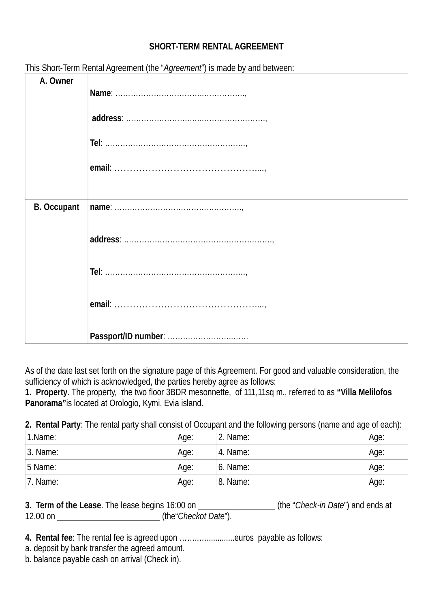## **SHORT-TERM RENTAL AGREEMENT**

| A. Owner           |                     |
|--------------------|---------------------|
|                    |                     |
|                    |                     |
|                    |                     |
| <b>B. Occupant</b> |                     |
|                    |                     |
|                    |                     |
|                    |                     |
|                    |                     |
|                    | Passport/ID number: |

This Short-Term Rental Agreement (the "*Agreement*") is made by and between:

As of the date last set forth on the signature page of this Agreement. For good and valuable consideration, the sufficiency of which is acknowledged, the parties hereby agree as follows:

**1. Property**. The property, τhe two floor 3BDR mesonnette, of 111,11sq m., referred to as **"Villa Melilofos Panorama"**is located at Orologio, Kymi, Evia island.

**2. Rental Party**: The rental party shall consist of Occupant and the following persons (name and age of each):

| 1.Name:  | Age: | 2. Name: | Age: |
|----------|------|----------|------|
| 3. Name: | Age: | 4. Name: | Age: |
| 5 Name:  | Age: | 6. Name: | Age: |
| 7. Name: | Age: | 8. Name: | Age: |

| 3. Term of the Lease. The lease begins 16:00 on |                      | (the "Check-in Date") and ends at |
|-------------------------------------------------|----------------------|-----------------------------------|
| 12.00 on                                        | (the Checkot Date"). |                                   |

- **4. Rental fee**: The rental fee is agreed upon ……..….............euros payable as follows:
- a. deposit by bank transfer the agreed amount.
- b. balance payable cash on arrival (Check in).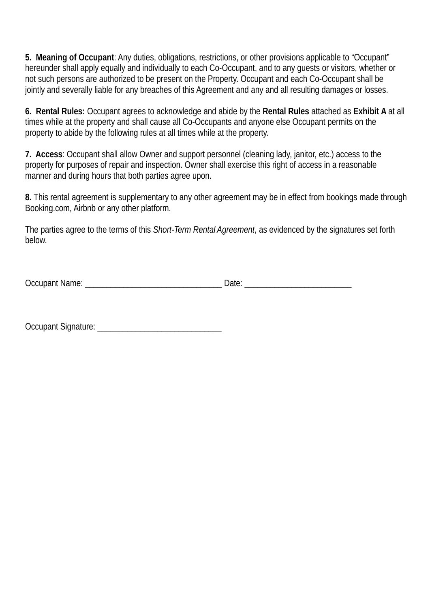**5. Meaning of Occupant**: Any duties, obligations, restrictions, or other provisions applicable to "Occupant" hereunder shall apply equally and individually to each Co-Occupant, and to any guests or visitors, whether or not such persons are authorized to be present on the Property. Occupant and each Co-Occupant shall be jointly and severally liable for any breaches of this Agreement and any and all resulting damages or losses.

**6. Rental Rules:** Occupant agrees to acknowledge and abide by the **Rental Rules** attached as **Exhibit A** at all times while at the property and shall cause all Co-Occupants and anyone else Occupant permits on the property to abide by the following rules at all times while at the property.

**7. Access**: Occupant shall allow Owner and support personnel (cleaning lady, janitor, etc.) access to the property for purposes of repair and inspection. Owner shall exercise this right of access in a reasonable manner and during hours that both parties agree upon.

**8.** This rental agreement is supplementary to any other agreement may be in effect from bookings made through Booking.com, Airbnb or any other platform.

The parties agree to the terms of this *Short-Term Rental Agreement*, as evidenced by the signatures set forth below.

| <b>Occupant Name:</b> | Date: |
|-----------------------|-------|
|-----------------------|-------|

Occupant Signature: \_\_\_\_\_\_\_\_\_\_\_\_\_\_\_\_\_\_\_\_\_\_\_\_\_\_\_\_\_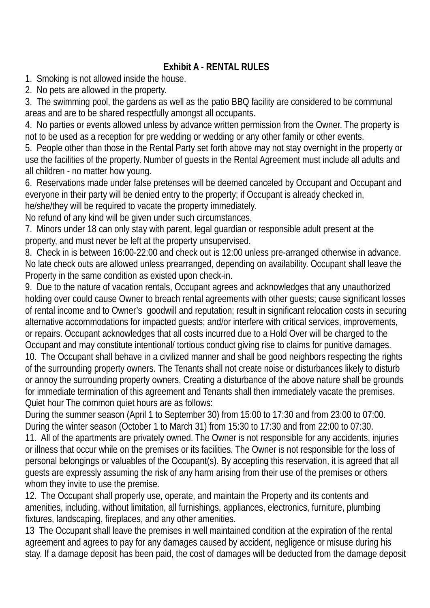## **Exhibit A - RENTAL RULES**

1. Smoking is not allowed inside the house.

2. No pets are allowed in the property.

3. The swimming pool, the gardens as well as the patio BBQ facility are considered to be communal areas and are to be shared respectfully amongst all occupants.

4. No parties or events allowed unless by advance written permission from the Owner. The property is not to be used as a reception for pre wedding or wedding or any other family or other events.

5. People other than those in the Rental Party set forth above may not stay overnight in the property or use the facilities of the property. Number of guests in the Rental Agreement must include all adults and all children - no matter how young.

6. Reservations made under false pretenses will be deemed canceled by Occupant and Occupant and everyone in their party will be denied entry to the property; if Occupant is already checked in, he/she/they will be required to vacate the property immediately.

No refund of any kind will be given under such circumstances.

7. Minors under 18 can only stay with parent, legal guardian or responsible adult present at the property, and must never be left at the property unsupervised.

8. Check in is between 16:00-22:00 and check out is 12:00 unless pre-arranged otherwise in advance. No late check outs are allowed unless prearranged, depending on availability. Occupant shall leave the Property in the same condition as existed upon check-in.

9. Due to the nature of vacation rentals, Occupant agrees and acknowledges that any unauthorized holding over could cause Owner to breach rental agreements with other guests; cause significant losses of rental income and to Owner's goodwill and reputation; result in significant relocation costs in securing alternative accommodations for impacted guests; and/or interfere with critical services, improvements, or repairs. Occupant acknowledges that all costs incurred due to a Hold Over will be charged to the Occupant and may constitute intentional/ tortious conduct giving rise to claims for punitive damages. 10. The Occupant shall behave in a civilized manner and shall be good neighbors respecting the rights of the surrounding property owners. The Tenants shall not create noise or disturbances likely to disturb or annoy the surrounding property owners. Creating a disturbance of the above nature shall be grounds for immediate termination of this agreement and Tenants shall then immediately vacate the premises. Quiet hour The common quiet hours are as follows:

During the summer season (April 1 to September 30) from 15:00 to 17:30 and from 23:00 to 07:00. During the winter season (October 1 to March 31) from 15:30 to 17:30 and from 22:00 to 07:30.

11. All of the apartments are privately owned. The Owner is not responsible for any accidents, injuries or illness that occur while on the premises or its facilities. The Owner is not responsible for the loss of personal belongings or valuables of the Occupant(s). By accepting this reservation, it is agreed that all guests are expressly assuming the risk of any harm arising from their use of the premises or others whom they invite to use the premise.

12. The Occupant shall properly use, operate, and maintain the Property and its contents and amenities, including, without limitation, all furnishings, appliances, electronics, furniture, plumbing fixtures, landscaping, fireplaces, and any other amenities.

13 The Occupant shall leave the premises in well maintained condition at the expiration of the rental agreement and agrees to pay for any damages caused by accident, negligence or misuse during his stay. If a damage deposit has been paid, the cost of damages will be deducted from the damage deposit